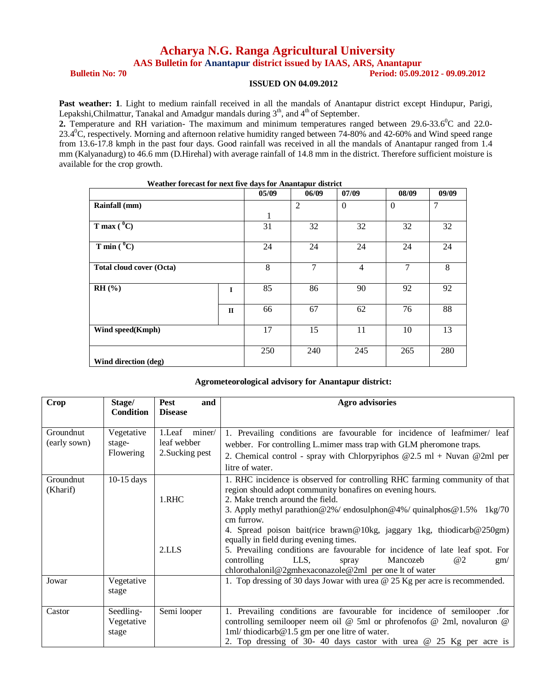## **Acharya N.G. Ranga Agricultural University**

**AAS Bulletin for Anantapur district issued by IAAS, ARS, Anantapur**

**Bulletin No: 70 Period: 05.09.2012 - 09.09.2012** 

## **ISSUED ON 04.09.2012**

Past weather: 1. Light to medium rainfall received in all the mandals of Anantapur district except Hindupur, Parigi, Lepakshi, Chilmattur, Tanakal and Amadgur mandals during  $3<sup>th</sup>$ , and  $4<sup>th</sup>$  of September.

**2.** Temperature and RH variation- The maximum and minimum temperatures ranged between 29.6-33.6<sup>0</sup>C and 22.0-23.4<sup>0</sup>C, respectively. Morning and afternoon relative humidity ranged between 74-80% and 42-60% and Wind speed range from 13.6-17.8 kmph in the past four days. Good rainfall was received in all the mandals of Anantapur ranged from 1.4 mm (Kalyanadurg) to 46.6 mm (D.Hirehal) with average rainfall of 14.8 mm in the district. Therefore sufficient moisture is available for the crop growth.

|                                 |              | 05/09 | 06/09          | 07/09          | 08/09    | 09/09          |
|---------------------------------|--------------|-------|----------------|----------------|----------|----------------|
| Rainfall (mm)                   |              |       | $\overline{2}$ | $\Omega$       | $\Omega$ | $\overline{7}$ |
|                                 |              | 1     |                |                |          |                |
| T max $(^{0}C)$                 |              | 31    | 32             | 32             | 32       | 32             |
| T min $(^{0}C)$                 |              | 24    | 24             | 24             | 24       | 24             |
| <b>Total cloud cover (Octa)</b> |              | 8     | 7              | $\overline{4}$ | 7        | 8              |
| $RH$ (%)                        | $\mathbf I$  | 85    | 86             | 90             | 92       | 92             |
|                                 | $\mathbf{I}$ | 66    | 67             | 62             | 76       | 88             |
| Wind speed(Kmph)                |              | 17    | 15             | 11             | 10       | 13             |
| Wind direction (deg)            |              | 250   | 240            | 245            | 265      | 280            |

## **Weather forecast for next five days for Anantapur district**

## **Agrometeorological advisory for Anantapur district:**

| Crop                      | Stage/                            | <b>Pest</b><br>and                              | Agro advisories                                                                                                                                                                                                                                                                                                                                                                                                                                                                                                                                                                                                 |
|---------------------------|-----------------------------------|-------------------------------------------------|-----------------------------------------------------------------------------------------------------------------------------------------------------------------------------------------------------------------------------------------------------------------------------------------------------------------------------------------------------------------------------------------------------------------------------------------------------------------------------------------------------------------------------------------------------------------------------------------------------------------|
|                           | <b>Condition</b>                  | <b>Disease</b>                                  |                                                                                                                                                                                                                                                                                                                                                                                                                                                                                                                                                                                                                 |
| Groundnut<br>(early sown) | Vegetative<br>stage-<br>Flowering | 1.Leaf miner/<br>leaf webber<br>2. Sucking pest | 1. Prevailing conditions are favourable for incidence of leafmimer/ leaf<br>webber. For controlling L.mimer mass trap with GLM pheromone traps.<br>2. Chemical control - spray with Chlorpyriphos $@2.5$ ml + Nuvan $@2ml$ per<br>litre of water.                                                                                                                                                                                                                                                                                                                                                               |
| Groundnut<br>(Kharif)     | $10-15$ days                      | 1.RHC<br>2.LLS                                  | 1. RHC incidence is observed for controlling RHC farming community of that<br>region should adopt community bonafires on evening hours.<br>2. Make trench around the field.<br>3. Apply methyl parathion $@2\%/$ endosulphon $@4\%/$ quinalphos $@1.5\%$<br>$1\text{kg}/70$<br>cm furrow.<br>4. Spread poison bait(rice brawn@10kg, jaggary 1kg, thiodicarb@250gm)<br>equally in field during evening times.<br>5. Prevailing conditions are favourable for incidence of late leaf spot. For<br>controlling<br>LLS,<br>Mancozeb<br>@2<br>spray<br>gm/<br>chlorothalonil@2gmhexaconazole@2ml per one lt of water |
| Jowar                     | Vegetative<br>stage               |                                                 | 1. Top dressing of 30 days Jowar with urea @ 25 Kg per acre is recommended.                                                                                                                                                                                                                                                                                                                                                                                                                                                                                                                                     |
| Castor                    | Seedling-<br>Vegetative<br>stage  | Semi looper                                     | 1. Prevailing conditions are favourable for incidence of semilooper .for<br>controlling semilooper neem oil $\omega$ 5ml or phrofenofos $\omega$ 2ml, novaluron $\omega$<br>1ml/thiodicarb@1.5 gm per one litre of water.<br>2. Top dressing of 30-40 days castor with urea $\omega$ 25 Kg per acre is                                                                                                                                                                                                                                                                                                          |